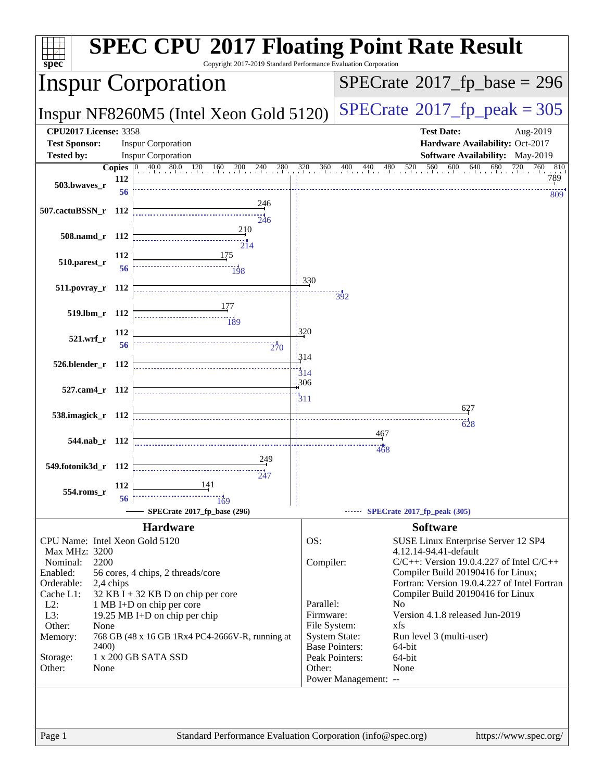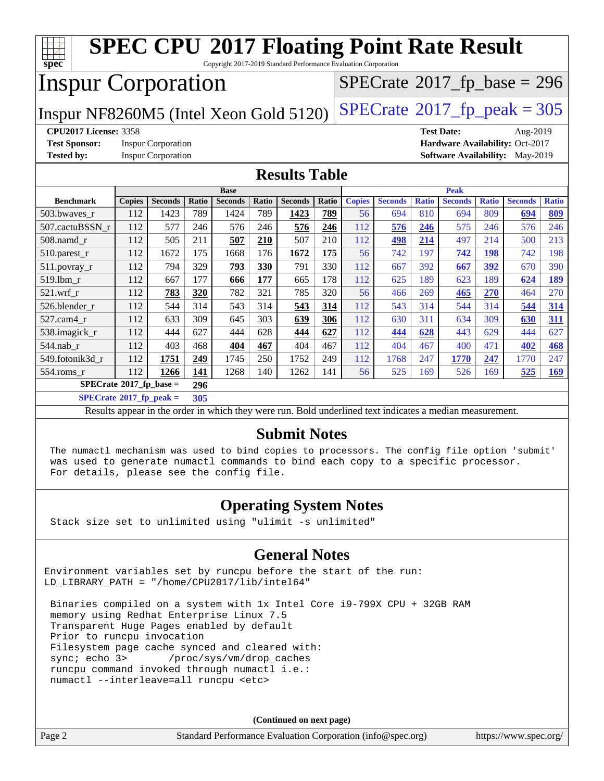| <b>SPEC CPU®2017 Floating Point Rate Result</b>                                                          |               |                |       |                |                                            |                                        |       |               |                |              |                   |              |                |              |
|----------------------------------------------------------------------------------------------------------|---------------|----------------|-------|----------------|--------------------------------------------|----------------------------------------|-------|---------------|----------------|--------------|-------------------|--------------|----------------|--------------|
| Copyright 2017-2019 Standard Performance Evaluation Corporation<br>spec                                  |               |                |       |                |                                            |                                        |       |               |                |              |                   |              |                |              |
| <b>Inspur Corporation</b>                                                                                |               |                |       |                | $SPECTate$ <sup>®</sup> 2017_fp_base = 296 |                                        |       |               |                |              |                   |              |                |              |
| Inspur NF8260M5 (Intel Xeon Gold 5120)                                                                   |               |                |       |                |                                            | $SPECTate@2017_fp\_peak = 305$         |       |               |                |              |                   |              |                |              |
| <b>CPU2017 License: 3358</b>                                                                             |               |                |       |                |                                            |                                        |       |               |                |              | <b>Test Date:</b> |              | Aug-2019       |              |
| <b>Test Sponsor:</b><br><b>Inspur Corporation</b><br>Hardware Availability: Oct-2017                     |               |                |       |                |                                            |                                        |       |               |                |              |                   |              |                |              |
| <b>Tested by:</b><br><b>Inspur Corporation</b>                                                           |               |                |       |                |                                            | <b>Software Availability:</b> May-2019 |       |               |                |              |                   |              |                |              |
| <b>Results Table</b>                                                                                     |               |                |       |                |                                            |                                        |       |               |                |              |                   |              |                |              |
|                                                                                                          |               |                |       | <b>Base</b>    |                                            |                                        |       |               |                |              | <b>Peak</b>       |              |                |              |
| <b>Benchmark</b>                                                                                         | <b>Copies</b> | <b>Seconds</b> | Ratio | <b>Seconds</b> | Ratio                                      | <b>Seconds</b>                         | Ratio | <b>Copies</b> | <b>Seconds</b> | <b>Ratio</b> | <b>Seconds</b>    | <b>Ratio</b> | <b>Seconds</b> | <b>Ratio</b> |
| 503.bwaves r                                                                                             | 112           | 1423           | 789   | 1424           | 789                                        | 1423                                   | 789   | 56            | 694            | 810          | 694               | 809          | 694            | 809          |
| 507.cactuBSSN r                                                                                          | 112           | 577            | 246   | 576            | 246                                        | 576                                    | 246   | 112           | 576            | 246          | 575               | 246          | 576            | 246          |
| 508.namd_r                                                                                               | 112           | 505            | 211   | 507            | 210                                        | 507                                    | 210   | 112           | 498            | 214          | 497               | 214          | 500            | 213          |
| 510.parest_r                                                                                             | 112           | 1672           | 175   | 1668           | 176                                        | 1672                                   | 175   | 56            | 742            | 197          | 742               | 198          | 742            | 198          |
| 511.povray_r                                                                                             | 112           | 794            | 329   | 793            | 330                                        | 791                                    | 330   | 112           | 667            | 392          | 667               | 392          | 670            | 390          |
| 519.1bm r                                                                                                | 112           | 667            | 177   | 666            | 177                                        | 665                                    | 178   | 112           | 625            | 189          | 623               | 189          | 624            | 189          |
| $521$ .wrf r                                                                                             | 112           | 783            | 320   | 782            | 321                                        | 785                                    | 320   | 56            | 466            | 269          | 465               | 270          | 464            | 270          |
| 526.blender_r                                                                                            | 112           | 544            | 314   | 543            | 314                                        | 543                                    | 314   | 112           | 543            | 314          | 544               | 314          | 544            | 314          |
| 527.cam4_r                                                                                               | 112           | 633            | 309   | 645            | 303                                        | 639                                    | 306   | 112           | 630            | 311          | 634               | 309          | 630            | 311          |
| 538.imagick_r                                                                                            | 112           | 444            | 627   | 444            | 628                                        | 444                                    | 627   | 112           | 444            | 628          | 443               | 629          | 444            | 627          |
| 544.nab r                                                                                                | 112           | 403            | 468   | 404            | 467                                        | 404                                    | 467   | 112           | 404            | 467          | 400               | 471          | 402            | 468          |
| 549.fotonik3d r                                                                                          | 112           | 1751           | 249   | 1745           | 250                                        | 1752                                   | 249   | 112           | 1768           | 247          | 1770              | 247          | 1770           | 247          |
| 554.roms_r                                                                                               | 112           | 1266           | 141   | 1268           | 140                                        | 1262                                   | 141   | 56            | 525            | 169          | 526               | 169          | 525            | 169          |
| $SPECrate^*2017_fp\_base =$<br>296                                                                       |               |                |       |                |                                            |                                        |       |               |                |              |                   |              |                |              |
| $SPECrate^*2017_fp_peak =$<br>305                                                                        |               |                |       |                |                                            |                                        |       |               |                |              |                   |              |                |              |
| Results appear in the order in which they were run. Bold underlined text indicates a median measurement. |               |                |       |                |                                            |                                        |       |               |                |              |                   |              |                |              |
| <b>Submit Notes</b>                                                                                      |               |                |       |                |                                            |                                        |       |               |                |              |                   |              |                |              |

 The numactl mechanism was used to bind copies to processors. The config file option 'submit' was used to generate numactl commands to bind each copy to a specific processor. For details, please see the config file.

#### **[Operating System Notes](http://www.spec.org/auto/cpu2017/Docs/result-fields.html#OperatingSystemNotes)**

Stack size set to unlimited using "ulimit -s unlimited"

#### **[General Notes](http://www.spec.org/auto/cpu2017/Docs/result-fields.html#GeneralNotes)**

Environment variables set by runcpu before the start of the run: LD\_LIBRARY\_PATH = "/home/CPU2017/lib/intel64"

 Binaries compiled on a system with 1x Intel Core i9-799X CPU + 32GB RAM memory using Redhat Enterprise Linux 7.5 Transparent Huge Pages enabled by default Prior to runcpu invocation Filesystem page cache synced and cleared with: sync; echo 3> /proc/sys/vm/drop\_caches runcpu command invoked through numactl i.e.: numactl --interleave=all runcpu <etc>

**(Continued on next page)**

Page 2 Standard Performance Evaluation Corporation [\(info@spec.org\)](mailto:info@spec.org) <https://www.spec.org/>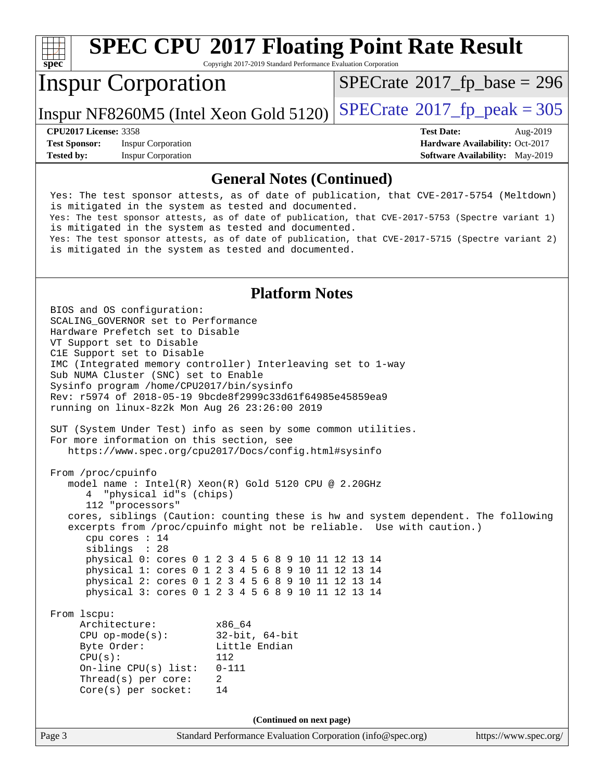#### **[spec](http://www.spec.org/) [SPEC CPU](http://www.spec.org/auto/cpu2017/Docs/result-fields.html#SPECCPU2017FloatingPointRateResult)[2017 Floating Point Rate Result](http://www.spec.org/auto/cpu2017/Docs/result-fields.html#SPECCPU2017FloatingPointRateResult)** Copyright 2017-2019 Standard Performance Evaluation Corporation Inspur Corporation Inspur NF8260M5 (Intel Xeon Gold 5120)  $SPECrate@2017_fp\_peak = 305$  $SPECrate@2017_fp\_peak = 305$  $SPECTate$ <sup>®</sup>[2017\\_fp\\_base =](http://www.spec.org/auto/cpu2017/Docs/result-fields.html#SPECrate2017fpbase) 296 **[CPU2017 License:](http://www.spec.org/auto/cpu2017/Docs/result-fields.html#CPU2017License)** 3358 **[Test Date:](http://www.spec.org/auto/cpu2017/Docs/result-fields.html#TestDate)** Aug-2019 **[Test Sponsor:](http://www.spec.org/auto/cpu2017/Docs/result-fields.html#TestSponsor)** Inspur Corporation **[Hardware Availability:](http://www.spec.org/auto/cpu2017/Docs/result-fields.html#HardwareAvailability)** Oct-2017 **[Tested by:](http://www.spec.org/auto/cpu2017/Docs/result-fields.html#Testedby)** Inspur Corporation **[Software Availability:](http://www.spec.org/auto/cpu2017/Docs/result-fields.html#SoftwareAvailability)** May-2019 **[General Notes \(Continued\)](http://www.spec.org/auto/cpu2017/Docs/result-fields.html#GeneralNotes)** Yes: The test sponsor attests, as of date of publication, that CVE-2017-5754 (Meltdown) is mitigated in the system as tested and documented. Yes: The test sponsor attests, as of date of publication, that CVE-2017-5753 (Spectre variant 1) is mitigated in the system as tested and documented. Yes: The test sponsor attests, as of date of publication, that CVE-2017-5715 (Spectre variant 2) is mitigated in the system as tested and documented. **[Platform Notes](http://www.spec.org/auto/cpu2017/Docs/result-fields.html#PlatformNotes)** BIOS and OS configuration: SCALING\_GOVERNOR set to Performance Hardware Prefetch set to Disable VT Support set to Disable C1E Support set to Disable IMC (Integrated memory controller) Interleaving set to 1-way Sub NUMA Cluster (SNC) set to Enable Sysinfo program /home/CPU2017/bin/sysinfo Rev: r5974 of 2018-05-19 9bcde8f2999c33d61f64985e45859ea9 running on linux-8z2k Mon Aug 26 23:26:00 2019 SUT (System Under Test) info as seen by some common utilities. For more information on this section, see <https://www.spec.org/cpu2017/Docs/config.html#sysinfo> From /proc/cpuinfo model name : Intel(R) Xeon(R) Gold 5120 CPU @ 2.20GHz

 112 "processors" cores, siblings (Caution: counting these is hw and system dependent. The following excerpts from /proc/cpuinfo might not be reliable. Use with caution.) cpu cores : 14 siblings : 28 physical 0: cores 0 1 2 3 4 5 6 8 9 10 11 12 13 14 physical 1: cores 0 1 2 3 4 5 6 8 9 10 11 12 13 14

 physical 2: cores 0 1 2 3 4 5 6 8 9 10 11 12 13 14 physical 3: cores 0 1 2 3 4 5 6 8 9 10 11 12 13 14

 From lscpu: Architecture: x86\_64 CPU op-mode(s): 32-bit, 64-bit Byte Order: Little Endian  $CPU(s):$  112 On-line CPU(s) list: 0-111 Thread(s) per core: 2 Core(s) per socket: 14

4 "physical id"s (chips)

**(Continued on next page)**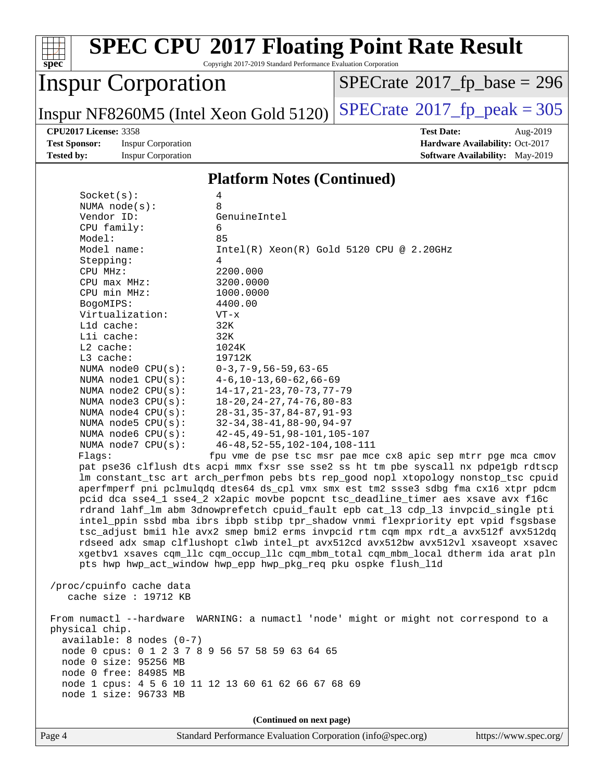

**(Continued on next page)**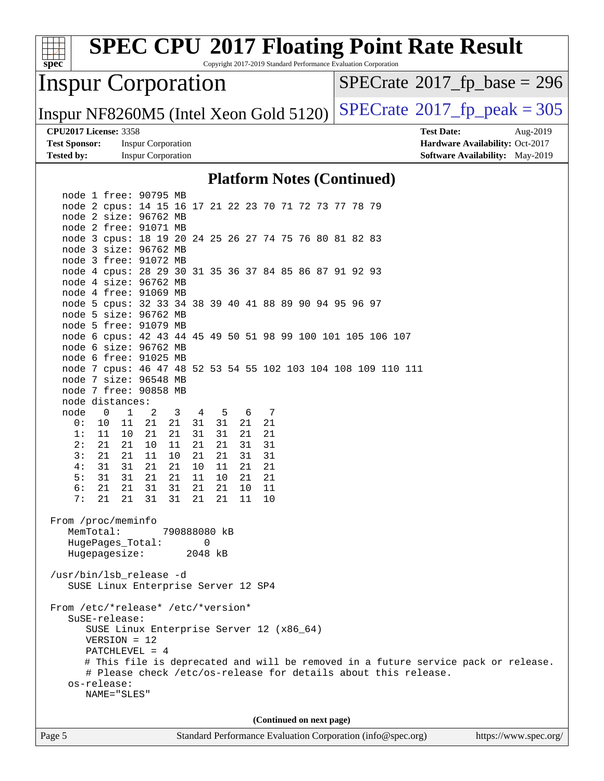| <b>SPEC CPU®2017 Floating Point Rate Result</b>                                                           |                                                                    |  |  |  |  |  |
|-----------------------------------------------------------------------------------------------------------|--------------------------------------------------------------------|--|--|--|--|--|
| spec<br>Copyright 2017-2019 Standard Performance Evaluation Corporation                                   |                                                                    |  |  |  |  |  |
| <b>Inspur Corporation</b>                                                                                 | $SPECrate^{\circ}2017$ [p base = 296                               |  |  |  |  |  |
| Inspur NF8260M5 (Intel Xeon Gold 5120)                                                                    | $SPECTate^{\circ}2017$ _fp_peak = 305                              |  |  |  |  |  |
| <b>CPU2017 License: 3358</b>                                                                              | <b>Test Date:</b><br>Aug-2019                                      |  |  |  |  |  |
| <b>Test Sponsor:</b><br><b>Inspur Corporation</b><br><b>Tested by:</b><br><b>Inspur Corporation</b>       | Hardware Availability: Oct-2017<br>Software Availability: May-2019 |  |  |  |  |  |
|                                                                                                           |                                                                    |  |  |  |  |  |
| <b>Platform Notes (Continued)</b>                                                                         |                                                                    |  |  |  |  |  |
| node 1 free: 90795 MB                                                                                     |                                                                    |  |  |  |  |  |
| node 2 cpus: 14 15 16 17 21 22 23 70 71 72 73 77 78 79                                                    |                                                                    |  |  |  |  |  |
| node 2 size: 96762 MB                                                                                     |                                                                    |  |  |  |  |  |
| node 2 free: 91071 MB<br>node 3 cpus: 18 19 20 24 25 26 27 74 75 76 80 81 82 83                           |                                                                    |  |  |  |  |  |
| node 3 size: 96762 MB                                                                                     |                                                                    |  |  |  |  |  |
| node 3 free: 91072 MB                                                                                     |                                                                    |  |  |  |  |  |
| node 4 cpus: 28 29 30 31 35 36 37 84 85 86 87 91 92 93                                                    |                                                                    |  |  |  |  |  |
| node 4 size: 96762 MB                                                                                     |                                                                    |  |  |  |  |  |
| node 4 free: 91069 MB                                                                                     |                                                                    |  |  |  |  |  |
| node 5 cpus: 32 33 34 38 39 40 41 88 89 90 94 95 96 97                                                    |                                                                    |  |  |  |  |  |
| node 5 size: 96762 MB<br>node 5 free: 91079 MB                                                            |                                                                    |  |  |  |  |  |
| node 6 cpus: 42 43 44 45 49 50 51 98 99 100 101 105 106 107                                               |                                                                    |  |  |  |  |  |
| node 6 size: 96762 MB                                                                                     |                                                                    |  |  |  |  |  |
| node 6 free: 91025 MB                                                                                     |                                                                    |  |  |  |  |  |
| node 7 cpus: 46 47 48 52 53 54 55 102 103 104 108 109 110 111                                             |                                                                    |  |  |  |  |  |
| node 7 size: 96548 MB                                                                                     |                                                                    |  |  |  |  |  |
| node 7 free: 90858 MB                                                                                     |                                                                    |  |  |  |  |  |
| node distances:<br>node<br>$\overline{0}$<br>$\overline{1}$<br>2<br>6<br>7                                |                                                                    |  |  |  |  |  |
| $\overline{5}$<br>3<br>4<br>21<br>21<br>31<br>21<br>21<br>0:<br>10<br>11<br>31                            |                                                                    |  |  |  |  |  |
| 1:<br>11<br>10<br>21<br>21<br>31<br>31<br>21<br>21                                                        |                                                                    |  |  |  |  |  |
| 2:<br>21<br>21<br>10<br>21<br>21<br>11<br>31<br>31                                                        |                                                                    |  |  |  |  |  |
| 3:<br>21<br>21<br>11<br>10<br>21<br>21<br>31<br>31                                                        |                                                                    |  |  |  |  |  |
| 21<br>21<br>21<br>21<br>4 :<br>31<br>31<br>10<br>11                                                       |                                                                    |  |  |  |  |  |
| 31<br>21<br>21<br>11<br>21<br>21<br>5 :<br>31<br>10                                                       |                                                                    |  |  |  |  |  |
| 6:<br>21<br>31<br>21<br>21<br>31<br>21<br>10<br>11<br>21<br>31<br>31<br>21<br>7 :<br>21<br>21<br>11<br>10 |                                                                    |  |  |  |  |  |
|                                                                                                           |                                                                    |  |  |  |  |  |
| From /proc/meminfo                                                                                        |                                                                    |  |  |  |  |  |
| MemTotal:<br>790888080 kB                                                                                 |                                                                    |  |  |  |  |  |
| $\mathbf 0$<br>HugePages_Total:                                                                           |                                                                    |  |  |  |  |  |
| Hugepagesize:<br>2048 kB                                                                                  |                                                                    |  |  |  |  |  |
| /usr/bin/lsb_release -d                                                                                   |                                                                    |  |  |  |  |  |
| SUSE Linux Enterprise Server 12 SP4                                                                       |                                                                    |  |  |  |  |  |
|                                                                                                           |                                                                    |  |  |  |  |  |
| From /etc/*release* /etc/*version*                                                                        |                                                                    |  |  |  |  |  |
| SuSE-release:                                                                                             |                                                                    |  |  |  |  |  |
| SUSE Linux Enterprise Server 12 (x86_64)                                                                  |                                                                    |  |  |  |  |  |
| $VERSION = 12$                                                                                            |                                                                    |  |  |  |  |  |
| PATCHLEVEL = 4<br># This file is deprecated and will be removed in a future service pack or release.      |                                                                    |  |  |  |  |  |
| # Please check /etc/os-release for details about this release.                                            |                                                                    |  |  |  |  |  |
| os-release:                                                                                               |                                                                    |  |  |  |  |  |
| NAME="SLES"                                                                                               |                                                                    |  |  |  |  |  |
|                                                                                                           |                                                                    |  |  |  |  |  |
| (Continued on next page)                                                                                  |                                                                    |  |  |  |  |  |
|                                                                                                           |                                                                    |  |  |  |  |  |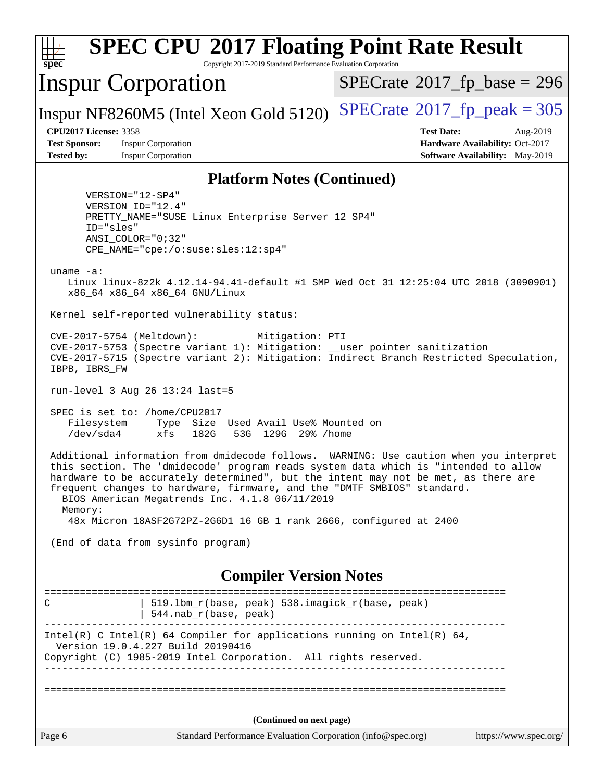| <b>SPEC CPU®2017 Floating Point Rate Result</b><br>Copyright 2017-2019 Standard Performance Evaluation Corporation<br>spec <sup>®</sup>                                                                                                                                                                                                                                                                     |                                                                                                     |  |  |  |  |
|-------------------------------------------------------------------------------------------------------------------------------------------------------------------------------------------------------------------------------------------------------------------------------------------------------------------------------------------------------------------------------------------------------------|-----------------------------------------------------------------------------------------------------|--|--|--|--|
| <b>Inspur Corporation</b>                                                                                                                                                                                                                                                                                                                                                                                   | $SPECrate^{\circ}2017$ fp base = 296                                                                |  |  |  |  |
| Inspur NF8260M5 (Intel Xeon Gold 5120)                                                                                                                                                                                                                                                                                                                                                                      | $SPECTate$ <sup>®</sup> 2017_fp_peak = 305                                                          |  |  |  |  |
| <b>CPU2017 License: 3358</b><br><b>Test Sponsor:</b><br><b>Inspur Corporation</b><br><b>Tested by:</b><br><b>Inspur Corporation</b>                                                                                                                                                                                                                                                                         | <b>Test Date:</b><br>Aug-2019<br>Hardware Availability: Oct-2017<br>Software Availability: May-2019 |  |  |  |  |
| <b>Platform Notes (Continued)</b>                                                                                                                                                                                                                                                                                                                                                                           |                                                                                                     |  |  |  |  |
| VERSION="12-SP4"<br>VERSION_ID="12.4"<br>PRETTY_NAME="SUSE Linux Enterprise Server 12 SP4"<br>ID="sles"<br>ANSI COLOR="0;32"<br>CPE_NAME="cpe:/o:suse:sles:12:sp4"<br>uname $-a$ :                                                                                                                                                                                                                          |                                                                                                     |  |  |  |  |
| Linux linux-8z2k 4.12.14-94.41-default #1 SMP Wed Oct 31 12:25:04 UTC 2018 (3090901)<br>x86_64 x86_64 x86_64 GNU/Linux                                                                                                                                                                                                                                                                                      |                                                                                                     |  |  |  |  |
| Kernel self-reported vulnerability status:                                                                                                                                                                                                                                                                                                                                                                  |                                                                                                     |  |  |  |  |
| CVE-2017-5754 (Meltdown):<br>Mitigation: PTI<br>CVE-2017-5753 (Spectre variant 1): Mitigation: __user pointer sanitization<br>CVE-2017-5715 (Spectre variant 2): Mitigation: Indirect Branch Restricted Speculation,<br>IBPB, IBRS_FW                                                                                                                                                                       |                                                                                                     |  |  |  |  |
| $run-level$ 3 Aug 26 13:24 last=5                                                                                                                                                                                                                                                                                                                                                                           |                                                                                                     |  |  |  |  |
| SPEC is set to: /home/CPU2017<br>Filesystem<br>Type Size Used Avail Use% Mounted on<br>/dev/sda4<br>53G 129G 29% / home<br>xfs<br>182G                                                                                                                                                                                                                                                                      |                                                                                                     |  |  |  |  |
| Additional information from dmidecode follows. WARNING: Use caution when you interpret<br>this section. The 'dmidecode' program reads system data which is "intended to allow<br>hardware to be accurately determined", but the intent may not be met, as there are<br>frequent changes to hardware, firmware, and the "DMTF SMBIOS" standard.<br>BIOS American Megatrends Inc. 4.1.8 06/11/2019<br>Memory: |                                                                                                     |  |  |  |  |
| 48x Micron 18ASF2G72PZ-2G6D1 16 GB 1 rank 2666, configured at 2400                                                                                                                                                                                                                                                                                                                                          |                                                                                                     |  |  |  |  |
| (End of data from sysinfo program)                                                                                                                                                                                                                                                                                                                                                                          |                                                                                                     |  |  |  |  |
| <b>Compiler Version Notes</b>                                                                                                                                                                                                                                                                                                                                                                               |                                                                                                     |  |  |  |  |
| 519.1bm_r(base, peak) 538.imagick_r(base, peak)<br>C<br>$544.nab_r(base, peak)$                                                                                                                                                                                                                                                                                                                             |                                                                                                     |  |  |  |  |
| Intel(R) C Intel(R) 64 Compiler for applications running on Intel(R) 64,<br>Version 19.0.4.227 Build 20190416<br>Copyright (C) 1985-2019 Intel Corporation. All rights reserved.                                                                                                                                                                                                                            |                                                                                                     |  |  |  |  |
|                                                                                                                                                                                                                                                                                                                                                                                                             |                                                                                                     |  |  |  |  |
| (Continued on next page)                                                                                                                                                                                                                                                                                                                                                                                    |                                                                                                     |  |  |  |  |
| Page 6<br>Standard Performance Evaluation Corporation (info@spec.org)                                                                                                                                                                                                                                                                                                                                       | https://www.spec.org/                                                                               |  |  |  |  |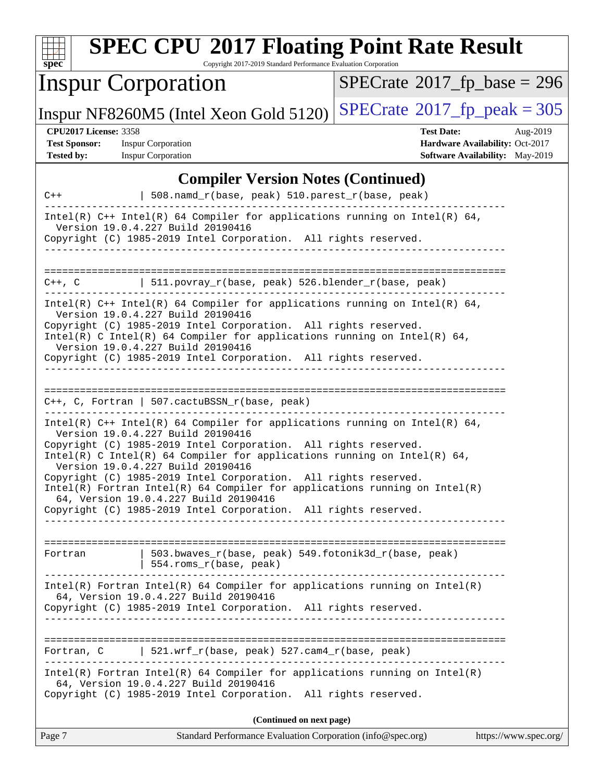| <b>SPEC CPU®2017 Floating Point Rate Result</b><br>Copyright 2017-2019 Standard Performance Evaluation Corporation<br>$spec^*$                                                                                                                                                                                                                                                                                    |                                                                                                     |  |  |  |  |
|-------------------------------------------------------------------------------------------------------------------------------------------------------------------------------------------------------------------------------------------------------------------------------------------------------------------------------------------------------------------------------------------------------------------|-----------------------------------------------------------------------------------------------------|--|--|--|--|
| <b>Inspur Corporation</b>                                                                                                                                                                                                                                                                                                                                                                                         | $SPECTate$ <sup>®</sup> 2017_fp_base = 296                                                          |  |  |  |  |
| Inspur NF8260M5 (Intel Xeon Gold 5120)                                                                                                                                                                                                                                                                                                                                                                            | $SPECTate$ <sup>®</sup> 2017_fp_peak = 305                                                          |  |  |  |  |
| <b>CPU2017 License: 3358</b><br><b>Test Sponsor:</b><br><b>Inspur Corporation</b><br><b>Inspur Corporation</b><br><b>Tested by:</b>                                                                                                                                                                                                                                                                               | <b>Test Date:</b><br>Aug-2019<br>Hardware Availability: Oct-2017<br>Software Availability: May-2019 |  |  |  |  |
| <b>Compiler Version Notes (Continued)</b>                                                                                                                                                                                                                                                                                                                                                                         |                                                                                                     |  |  |  |  |
| 508.namd_r(base, peak) 510.parest_r(base, peak)<br>$C++$                                                                                                                                                                                                                                                                                                                                                          |                                                                                                     |  |  |  |  |
| Intel(R) $C++$ Intel(R) 64 Compiler for applications running on Intel(R) 64,<br>Version 19.0.4.227 Build 20190416<br>Copyright (C) 1985-2019 Intel Corporation. All rights reserved.                                                                                                                                                                                                                              |                                                                                                     |  |  |  |  |
| =========================<br>511.povray_r(base, peak) 526.blender_r(base, peak)<br>$C++$ , $C$                                                                                                                                                                                                                                                                                                                    | ----------------------------                                                                        |  |  |  |  |
| Intel(R) $C++$ Intel(R) 64 Compiler for applications running on Intel(R) 64,<br>Version 19.0.4.227 Build 20190416<br>Copyright (C) 1985-2019 Intel Corporation. All rights reserved.<br>Intel(R) C Intel(R) 64 Compiler for applications running on Intel(R) 64,<br>Version 19.0.4.227 Build 20190416<br>Copyright (C) 1985-2019 Intel Corporation. All rights reserved.                                          |                                                                                                     |  |  |  |  |
| =============================<br>$C++$ , C, Fortran   507.cactuBSSN_r(base, peak)<br>Intel(R) $C++$ Intel(R) 64 Compiler for applications running on Intel(R) 64,                                                                                                                                                                                                                                                 |                                                                                                     |  |  |  |  |
| Version 19.0.4.227 Build 20190416<br>Copyright (C) 1985-2019 Intel Corporation. All rights reserved.<br>Intel(R) C Intel(R) 64 Compiler for applications running on Intel(R) 64,<br>Version 19.0.4.227 Build 20190416<br>Copyright (C) 1985-2019 Intel Corporation. All rights reserved.<br>$Intel(R)$ Fortran Intel(R) 64 Compiler for applications running on Intel(R)<br>64, Version 19.0.4.227 Build 20190416 |                                                                                                     |  |  |  |  |
| Copyright (C) 1985-2019 Intel Corporation. All rights reserved.                                                                                                                                                                                                                                                                                                                                                   |                                                                                                     |  |  |  |  |
| 503.bwaves_r(base, peak) 549.fotonik3d_r(base, peak)<br>Fortran<br>554.roms_r(base, peak)<br>______________________________                                                                                                                                                                                                                                                                                       |                                                                                                     |  |  |  |  |
| $Intel(R)$ Fortran Intel(R) 64 Compiler for applications running on Intel(R)<br>64, Version 19.0.4.227 Build 20190416<br>Copyright (C) 1985-2019 Intel Corporation. All rights reserved.                                                                                                                                                                                                                          |                                                                                                     |  |  |  |  |
|                                                                                                                                                                                                                                                                                                                                                                                                                   |                                                                                                     |  |  |  |  |
| Fortran, C   521.wrf_r(base, peak) $527.cam4_r(base, peak)$<br>$Intel(R)$ Fortran Intel(R) 64 Compiler for applications running on Intel(R)<br>64, Version 19.0.4.227 Build 20190416<br>Copyright (C) 1985-2019 Intel Corporation. All rights reserved.                                                                                                                                                           |                                                                                                     |  |  |  |  |
|                                                                                                                                                                                                                                                                                                                                                                                                                   |                                                                                                     |  |  |  |  |
| (Continued on next page)<br>Page 7<br>Standard Performance Evaluation Corporation (info@spec.org)                                                                                                                                                                                                                                                                                                                 | https://www.spec.org/                                                                               |  |  |  |  |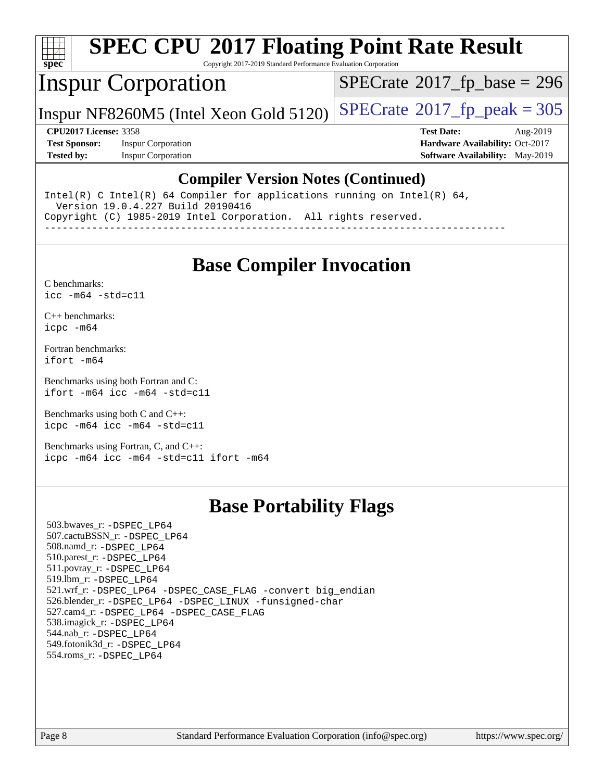

# **[SPEC CPU](http://www.spec.org/auto/cpu2017/Docs/result-fields.html#SPECCPU2017FloatingPointRateResult)[2017 Floating Point Rate Result](http://www.spec.org/auto/cpu2017/Docs/result-fields.html#SPECCPU2017FloatingPointRateResult)**

Copyright 2017-2019 Standard Performance Evaluation Corporation

## Inspur Corporation

 $SPECTate$ <sup>®</sup>[2017\\_fp\\_base =](http://www.spec.org/auto/cpu2017/Docs/result-fields.html#SPECrate2017fpbase) 296

Inspur NF8260M5 (Intel Xeon Gold 5120)  $SPECrate^{\circ}2017_f$  $SPECrate^{\circ}2017_f$  peak = 305

**[Test Sponsor:](http://www.spec.org/auto/cpu2017/Docs/result-fields.html#TestSponsor)** Inspur Corporation **[Hardware Availability:](http://www.spec.org/auto/cpu2017/Docs/result-fields.html#HardwareAvailability)** Oct-2017 **[Tested by:](http://www.spec.org/auto/cpu2017/Docs/result-fields.html#Testedby)** Inspur Corporation **[Software Availability:](http://www.spec.org/auto/cpu2017/Docs/result-fields.html#SoftwareAvailability)** May-2019

**[CPU2017 License:](http://www.spec.org/auto/cpu2017/Docs/result-fields.html#CPU2017License)** 3358 **[Test Date:](http://www.spec.org/auto/cpu2017/Docs/result-fields.html#TestDate)** Aug-2019

#### **[Compiler Version Notes \(Continued\)](http://www.spec.org/auto/cpu2017/Docs/result-fields.html#CompilerVersionNotes)**

Intel(R) C Intel(R) 64 Compiler for applications running on Intel(R) 64, Version 19.0.4.227 Build 20190416 Copyright (C) 1985-2019 Intel Corporation. All rights reserved.

------------------------------------------------------------------------------

### **[Base Compiler Invocation](http://www.spec.org/auto/cpu2017/Docs/result-fields.html#BaseCompilerInvocation)**

[C benchmarks](http://www.spec.org/auto/cpu2017/Docs/result-fields.html#Cbenchmarks): [icc -m64 -std=c11](http://www.spec.org/cpu2017/results/res2019q3/cpu2017-20190901-17332.flags.html#user_CCbase_intel_icc_64bit_c11_33ee0cdaae7deeeab2a9725423ba97205ce30f63b9926c2519791662299b76a0318f32ddfffdc46587804de3178b4f9328c46fa7c2b0cd779d7a61945c91cd35)

[C++ benchmarks:](http://www.spec.org/auto/cpu2017/Docs/result-fields.html#CXXbenchmarks) [icpc -m64](http://www.spec.org/cpu2017/results/res2019q3/cpu2017-20190901-17332.flags.html#user_CXXbase_intel_icpc_64bit_4ecb2543ae3f1412ef961e0650ca070fec7b7afdcd6ed48761b84423119d1bf6bdf5cad15b44d48e7256388bc77273b966e5eb805aefd121eb22e9299b2ec9d9)

[Fortran benchmarks](http://www.spec.org/auto/cpu2017/Docs/result-fields.html#Fortranbenchmarks): [ifort -m64](http://www.spec.org/cpu2017/results/res2019q3/cpu2017-20190901-17332.flags.html#user_FCbase_intel_ifort_64bit_24f2bb282fbaeffd6157abe4f878425411749daecae9a33200eee2bee2fe76f3b89351d69a8130dd5949958ce389cf37ff59a95e7a40d588e8d3a57e0c3fd751)

[Benchmarks using both Fortran and C](http://www.spec.org/auto/cpu2017/Docs/result-fields.html#BenchmarksusingbothFortranandC): [ifort -m64](http://www.spec.org/cpu2017/results/res2019q3/cpu2017-20190901-17332.flags.html#user_CC_FCbase_intel_ifort_64bit_24f2bb282fbaeffd6157abe4f878425411749daecae9a33200eee2bee2fe76f3b89351d69a8130dd5949958ce389cf37ff59a95e7a40d588e8d3a57e0c3fd751) [icc -m64 -std=c11](http://www.spec.org/cpu2017/results/res2019q3/cpu2017-20190901-17332.flags.html#user_CC_FCbase_intel_icc_64bit_c11_33ee0cdaae7deeeab2a9725423ba97205ce30f63b9926c2519791662299b76a0318f32ddfffdc46587804de3178b4f9328c46fa7c2b0cd779d7a61945c91cd35)

[Benchmarks using both C and C++](http://www.spec.org/auto/cpu2017/Docs/result-fields.html#BenchmarksusingbothCandCXX): [icpc -m64](http://www.spec.org/cpu2017/results/res2019q3/cpu2017-20190901-17332.flags.html#user_CC_CXXbase_intel_icpc_64bit_4ecb2543ae3f1412ef961e0650ca070fec7b7afdcd6ed48761b84423119d1bf6bdf5cad15b44d48e7256388bc77273b966e5eb805aefd121eb22e9299b2ec9d9) [icc -m64 -std=c11](http://www.spec.org/cpu2017/results/res2019q3/cpu2017-20190901-17332.flags.html#user_CC_CXXbase_intel_icc_64bit_c11_33ee0cdaae7deeeab2a9725423ba97205ce30f63b9926c2519791662299b76a0318f32ddfffdc46587804de3178b4f9328c46fa7c2b0cd779d7a61945c91cd35)

[Benchmarks using Fortran, C, and C++:](http://www.spec.org/auto/cpu2017/Docs/result-fields.html#BenchmarksusingFortranCandCXX) [icpc -m64](http://www.spec.org/cpu2017/results/res2019q3/cpu2017-20190901-17332.flags.html#user_CC_CXX_FCbase_intel_icpc_64bit_4ecb2543ae3f1412ef961e0650ca070fec7b7afdcd6ed48761b84423119d1bf6bdf5cad15b44d48e7256388bc77273b966e5eb805aefd121eb22e9299b2ec9d9) [icc -m64 -std=c11](http://www.spec.org/cpu2017/results/res2019q3/cpu2017-20190901-17332.flags.html#user_CC_CXX_FCbase_intel_icc_64bit_c11_33ee0cdaae7deeeab2a9725423ba97205ce30f63b9926c2519791662299b76a0318f32ddfffdc46587804de3178b4f9328c46fa7c2b0cd779d7a61945c91cd35) [ifort -m64](http://www.spec.org/cpu2017/results/res2019q3/cpu2017-20190901-17332.flags.html#user_CC_CXX_FCbase_intel_ifort_64bit_24f2bb282fbaeffd6157abe4f878425411749daecae9a33200eee2bee2fe76f3b89351d69a8130dd5949958ce389cf37ff59a95e7a40d588e8d3a57e0c3fd751)

#### **[Base Portability Flags](http://www.spec.org/auto/cpu2017/Docs/result-fields.html#BasePortabilityFlags)**

 503.bwaves\_r: [-DSPEC\\_LP64](http://www.spec.org/cpu2017/results/res2019q3/cpu2017-20190901-17332.flags.html#suite_basePORTABILITY503_bwaves_r_DSPEC_LP64) 507.cactuBSSN\_r: [-DSPEC\\_LP64](http://www.spec.org/cpu2017/results/res2019q3/cpu2017-20190901-17332.flags.html#suite_basePORTABILITY507_cactuBSSN_r_DSPEC_LP64) 508.namd\_r: [-DSPEC\\_LP64](http://www.spec.org/cpu2017/results/res2019q3/cpu2017-20190901-17332.flags.html#suite_basePORTABILITY508_namd_r_DSPEC_LP64) 510.parest\_r: [-DSPEC\\_LP64](http://www.spec.org/cpu2017/results/res2019q3/cpu2017-20190901-17332.flags.html#suite_basePORTABILITY510_parest_r_DSPEC_LP64) 511.povray\_r: [-DSPEC\\_LP64](http://www.spec.org/cpu2017/results/res2019q3/cpu2017-20190901-17332.flags.html#suite_basePORTABILITY511_povray_r_DSPEC_LP64) 519.lbm\_r: [-DSPEC\\_LP64](http://www.spec.org/cpu2017/results/res2019q3/cpu2017-20190901-17332.flags.html#suite_basePORTABILITY519_lbm_r_DSPEC_LP64) 521.wrf\_r: [-DSPEC\\_LP64](http://www.spec.org/cpu2017/results/res2019q3/cpu2017-20190901-17332.flags.html#suite_basePORTABILITY521_wrf_r_DSPEC_LP64) [-DSPEC\\_CASE\\_FLAG](http://www.spec.org/cpu2017/results/res2019q3/cpu2017-20190901-17332.flags.html#b521.wrf_r_baseCPORTABILITY_DSPEC_CASE_FLAG) [-convert big\\_endian](http://www.spec.org/cpu2017/results/res2019q3/cpu2017-20190901-17332.flags.html#user_baseFPORTABILITY521_wrf_r_convert_big_endian_c3194028bc08c63ac5d04de18c48ce6d347e4e562e8892b8bdbdc0214820426deb8554edfa529a3fb25a586e65a3d812c835984020483e7e73212c4d31a38223) 526.blender\_r: [-DSPEC\\_LP64](http://www.spec.org/cpu2017/results/res2019q3/cpu2017-20190901-17332.flags.html#suite_basePORTABILITY526_blender_r_DSPEC_LP64) [-DSPEC\\_LINUX](http://www.spec.org/cpu2017/results/res2019q3/cpu2017-20190901-17332.flags.html#b526.blender_r_baseCPORTABILITY_DSPEC_LINUX) [-funsigned-char](http://www.spec.org/cpu2017/results/res2019q3/cpu2017-20190901-17332.flags.html#user_baseCPORTABILITY526_blender_r_force_uchar_40c60f00ab013830e2dd6774aeded3ff59883ba5a1fc5fc14077f794d777847726e2a5858cbc7672e36e1b067e7e5c1d9a74f7176df07886a243d7cc18edfe67) 527.cam4\_r: [-DSPEC\\_LP64](http://www.spec.org/cpu2017/results/res2019q3/cpu2017-20190901-17332.flags.html#suite_basePORTABILITY527_cam4_r_DSPEC_LP64) [-DSPEC\\_CASE\\_FLAG](http://www.spec.org/cpu2017/results/res2019q3/cpu2017-20190901-17332.flags.html#b527.cam4_r_baseCPORTABILITY_DSPEC_CASE_FLAG) 538.imagick\_r: [-DSPEC\\_LP64](http://www.spec.org/cpu2017/results/res2019q3/cpu2017-20190901-17332.flags.html#suite_basePORTABILITY538_imagick_r_DSPEC_LP64) 544.nab\_r: [-DSPEC\\_LP64](http://www.spec.org/cpu2017/results/res2019q3/cpu2017-20190901-17332.flags.html#suite_basePORTABILITY544_nab_r_DSPEC_LP64) 549.fotonik3d\_r: [-DSPEC\\_LP64](http://www.spec.org/cpu2017/results/res2019q3/cpu2017-20190901-17332.flags.html#suite_basePORTABILITY549_fotonik3d_r_DSPEC_LP64) 554.roms\_r: [-DSPEC\\_LP64](http://www.spec.org/cpu2017/results/res2019q3/cpu2017-20190901-17332.flags.html#suite_basePORTABILITY554_roms_r_DSPEC_LP64)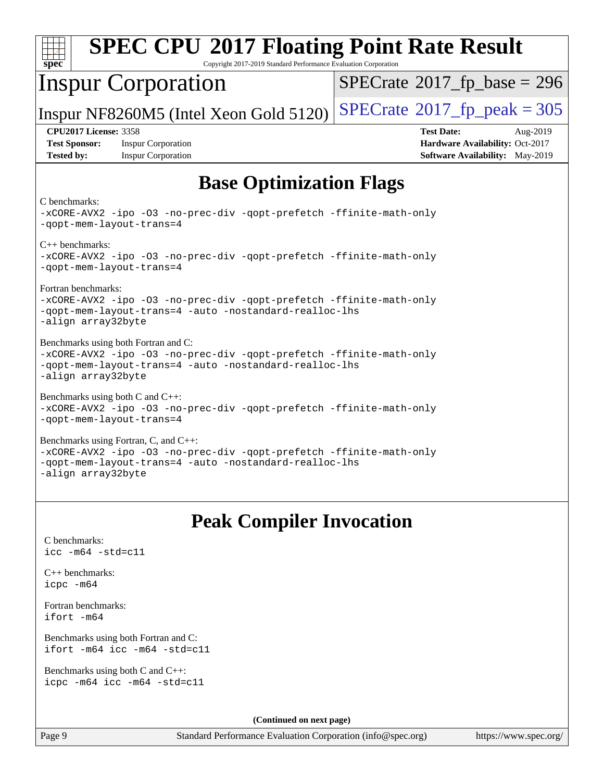| <b>SPEC CPU®2017 Floating Point Rate Result</b><br>spec <sup>®</sup><br>Copyright 2017-2019 Standard Performance Evaluation Corporation                                                      |                                                                                                                   |  |  |  |  |  |
|----------------------------------------------------------------------------------------------------------------------------------------------------------------------------------------------|-------------------------------------------------------------------------------------------------------------------|--|--|--|--|--|
| <b>Inspur Corporation</b>                                                                                                                                                                    | $SPECrate^{\circ}2017$ _fp_base = 296                                                                             |  |  |  |  |  |
| Inspur NF8260M5 (Intel Xeon Gold 5120)                                                                                                                                                       | $SPECTate^{\circ}2017$ _fp_peak = 305                                                                             |  |  |  |  |  |
| <b>CPU2017 License: 3358</b><br><b>Test Sponsor:</b><br><b>Inspur Corporation</b><br><b>Tested by:</b><br><b>Inspur Corporation</b>                                                          | <b>Test Date:</b><br>Aug-2019<br><b>Hardware Availability: Oct-2017</b><br><b>Software Availability:</b> May-2019 |  |  |  |  |  |
| <b>Base Optimization Flags</b>                                                                                                                                                               |                                                                                                                   |  |  |  |  |  |
| C benchmarks:<br>-xCORE-AVX2 -ipo -03 -no-prec-div -qopt-prefetch -ffinite-math-only<br>-qopt-mem-layout-trans=4                                                                             |                                                                                                                   |  |  |  |  |  |
| $C++$ benchmarks:<br>-xCORE-AVX2 -ipo -03 -no-prec-div -qopt-prefetch -ffinite-math-only<br>-qopt-mem-layout-trans=4                                                                         |                                                                                                                   |  |  |  |  |  |
| Fortran benchmarks:<br>-xCORE-AVX2 -ipo -03 -no-prec-div -qopt-prefetch -ffinite-math-only<br>-qopt-mem-layout-trans=4 -auto -nostandard-realloc-lhs<br>-align array32byte                   |                                                                                                                   |  |  |  |  |  |
| Benchmarks using both Fortran and C:<br>-xCORE-AVX2 -ipo -03 -no-prec-div -qopt-prefetch -ffinite-math-only<br>-qopt-mem-layout-trans=4 -auto -nostandard-realloc-lhs<br>-align array32byte  |                                                                                                                   |  |  |  |  |  |
| Benchmarks using both C and C++:<br>-xCORE-AVX2 -ipo -03 -no-prec-div -qopt-prefetch -ffinite-math-only<br>-qopt-mem-layout-trans=4                                                          |                                                                                                                   |  |  |  |  |  |
| Benchmarks using Fortran, C, and C++:<br>-xCORE-AVX2 -ipo -03 -no-prec-div -qopt-prefetch -ffinite-math-only<br>-gopt-mem-layout-trans=4 -auto -nostandard-realloc-lhs<br>-align array32byte |                                                                                                                   |  |  |  |  |  |
| <b>Peak Compiler Invocation</b>                                                                                                                                                              |                                                                                                                   |  |  |  |  |  |
| C benchmarks:<br>$\text{icc}$ -m64 -std=c11                                                                                                                                                  |                                                                                                                   |  |  |  |  |  |
| $C_{++}$ benchmarks:<br>icpc -m64                                                                                                                                                            |                                                                                                                   |  |  |  |  |  |
| Fortran benchmarks:<br>ifort -m64                                                                                                                                                            |                                                                                                                   |  |  |  |  |  |
| Benchmarks using both Fortran and C:<br>ifort -m64 icc -m64 -std=c11                                                                                                                         |                                                                                                                   |  |  |  |  |  |
| Benchmarks using both C and C++:<br>icpc -m64 icc -m64 -std=c11                                                                                                                              |                                                                                                                   |  |  |  |  |  |
| (Continued on next page)                                                                                                                                                                     |                                                                                                                   |  |  |  |  |  |

Page 9 Standard Performance Evaluation Corporation [\(info@spec.org\)](mailto:info@spec.org) <https://www.spec.org/>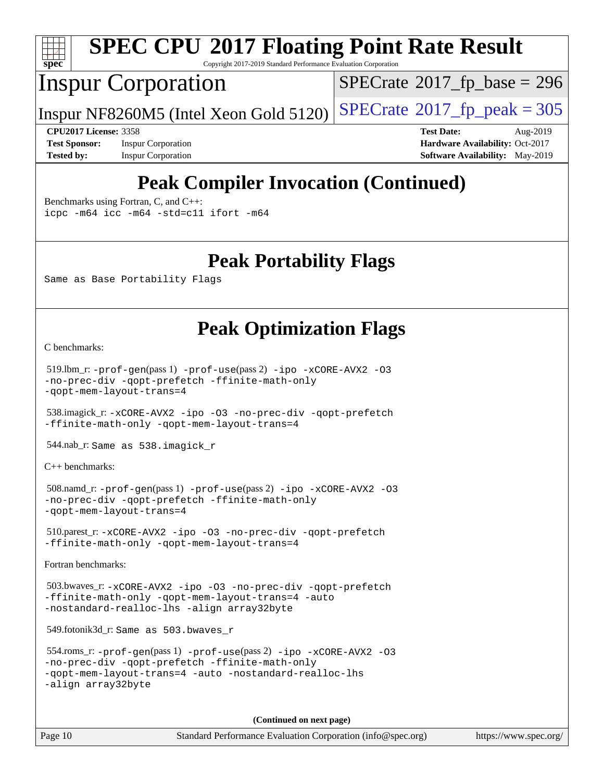

# **[SPEC CPU](http://www.spec.org/auto/cpu2017/Docs/result-fields.html#SPECCPU2017FloatingPointRateResult)[2017 Floating Point Rate Result](http://www.spec.org/auto/cpu2017/Docs/result-fields.html#SPECCPU2017FloatingPointRateResult)**

Copyright 2017-2019 Standard Performance Evaluation Corporation

# Inspur Corporation

 $SPECrate$ <sup>®</sup>[2017\\_fp\\_base =](http://www.spec.org/auto/cpu2017/Docs/result-fields.html#SPECrate2017fpbase) 296

Inspur NF8260M5 (Intel Xeon Gold 5120)  $SPECrate^{\circ}2017_f$  $SPECrate^{\circ}2017_f$  peak = 305

**[Test Sponsor:](http://www.spec.org/auto/cpu2017/Docs/result-fields.html#TestSponsor)** Inspur Corporation **[Hardware Availability:](http://www.spec.org/auto/cpu2017/Docs/result-fields.html#HardwareAvailability)** Oct-2017

**[CPU2017 License:](http://www.spec.org/auto/cpu2017/Docs/result-fields.html#CPU2017License)** 3358 **[Test Date:](http://www.spec.org/auto/cpu2017/Docs/result-fields.html#TestDate)** Aug-2019 **[Tested by:](http://www.spec.org/auto/cpu2017/Docs/result-fields.html#Testedby)** Inspur Corporation **[Software Availability:](http://www.spec.org/auto/cpu2017/Docs/result-fields.html#SoftwareAvailability)** May-2019

# **[Peak Compiler Invocation \(Continued\)](http://www.spec.org/auto/cpu2017/Docs/result-fields.html#PeakCompilerInvocation)**

[Benchmarks using Fortran, C, and C++:](http://www.spec.org/auto/cpu2017/Docs/result-fields.html#BenchmarksusingFortranCandCXX)

[icpc -m64](http://www.spec.org/cpu2017/results/res2019q3/cpu2017-20190901-17332.flags.html#user_CC_CXX_FCpeak_intel_icpc_64bit_4ecb2543ae3f1412ef961e0650ca070fec7b7afdcd6ed48761b84423119d1bf6bdf5cad15b44d48e7256388bc77273b966e5eb805aefd121eb22e9299b2ec9d9) [icc -m64 -std=c11](http://www.spec.org/cpu2017/results/res2019q3/cpu2017-20190901-17332.flags.html#user_CC_CXX_FCpeak_intel_icc_64bit_c11_33ee0cdaae7deeeab2a9725423ba97205ce30f63b9926c2519791662299b76a0318f32ddfffdc46587804de3178b4f9328c46fa7c2b0cd779d7a61945c91cd35) [ifort -m64](http://www.spec.org/cpu2017/results/res2019q3/cpu2017-20190901-17332.flags.html#user_CC_CXX_FCpeak_intel_ifort_64bit_24f2bb282fbaeffd6157abe4f878425411749daecae9a33200eee2bee2fe76f3b89351d69a8130dd5949958ce389cf37ff59a95e7a40d588e8d3a57e0c3fd751)

#### **[Peak Portability Flags](http://www.spec.org/auto/cpu2017/Docs/result-fields.html#PeakPortabilityFlags)**

Same as Base Portability Flags

## **[Peak Optimization Flags](http://www.spec.org/auto/cpu2017/Docs/result-fields.html#PeakOptimizationFlags)**

[C benchmarks](http://www.spec.org/auto/cpu2017/Docs/result-fields.html#Cbenchmarks):

```
 519.lbm_r: -prof-gen(pass 1) -prof-use(pass 2) -ipo -xCORE-AVX2 -O3
-no-prec-div -qopt-prefetch -ffinite-math-only
-qopt-mem-layout-trans=4
```
 538.imagick\_r: [-xCORE-AVX2](http://www.spec.org/cpu2017/results/res2019q3/cpu2017-20190901-17332.flags.html#user_peakCOPTIMIZE538_imagick_r_f-xCORE-AVX2) [-ipo](http://www.spec.org/cpu2017/results/res2019q3/cpu2017-20190901-17332.flags.html#user_peakCOPTIMIZE538_imagick_r_f-ipo) [-O3](http://www.spec.org/cpu2017/results/res2019q3/cpu2017-20190901-17332.flags.html#user_peakCOPTIMIZE538_imagick_r_f-O3) [-no-prec-div](http://www.spec.org/cpu2017/results/res2019q3/cpu2017-20190901-17332.flags.html#user_peakCOPTIMIZE538_imagick_r_f-no-prec-div) [-qopt-prefetch](http://www.spec.org/cpu2017/results/res2019q3/cpu2017-20190901-17332.flags.html#user_peakCOPTIMIZE538_imagick_r_f-qopt-prefetch) [-ffinite-math-only](http://www.spec.org/cpu2017/results/res2019q3/cpu2017-20190901-17332.flags.html#user_peakCOPTIMIZE538_imagick_r_f_finite_math_only_cb91587bd2077682c4b38af759c288ed7c732db004271a9512da14a4f8007909a5f1427ecbf1a0fb78ff2a814402c6114ac565ca162485bbcae155b5e4258871) [-qopt-mem-layout-trans=4](http://www.spec.org/cpu2017/results/res2019q3/cpu2017-20190901-17332.flags.html#user_peakCOPTIMIZE538_imagick_r_f-qopt-mem-layout-trans_fa39e755916c150a61361b7846f310bcdf6f04e385ef281cadf3647acec3f0ae266d1a1d22d972a7087a248fd4e6ca390a3634700869573d231a252c784941a8)

544.nab\_r: Same as 538.imagick\_r

[C++ benchmarks:](http://www.spec.org/auto/cpu2017/Docs/result-fields.html#CXXbenchmarks)

```
 508.namd_r: -prof-gen(pass 1) -prof-use(pass 2) -ipo -xCORE-AVX2 -O3
-no-prec-div -qopt-prefetch -ffinite-math-only
-qopt-mem-layout-trans=4
```
 510.parest\_r: [-xCORE-AVX2](http://www.spec.org/cpu2017/results/res2019q3/cpu2017-20190901-17332.flags.html#user_peakCXXOPTIMIZE510_parest_r_f-xCORE-AVX2) [-ipo](http://www.spec.org/cpu2017/results/res2019q3/cpu2017-20190901-17332.flags.html#user_peakCXXOPTIMIZE510_parest_r_f-ipo) [-O3](http://www.spec.org/cpu2017/results/res2019q3/cpu2017-20190901-17332.flags.html#user_peakCXXOPTIMIZE510_parest_r_f-O3) [-no-prec-div](http://www.spec.org/cpu2017/results/res2019q3/cpu2017-20190901-17332.flags.html#user_peakCXXOPTIMIZE510_parest_r_f-no-prec-div) [-qopt-prefetch](http://www.spec.org/cpu2017/results/res2019q3/cpu2017-20190901-17332.flags.html#user_peakCXXOPTIMIZE510_parest_r_f-qopt-prefetch) [-ffinite-math-only](http://www.spec.org/cpu2017/results/res2019q3/cpu2017-20190901-17332.flags.html#user_peakCXXOPTIMIZE510_parest_r_f_finite_math_only_cb91587bd2077682c4b38af759c288ed7c732db004271a9512da14a4f8007909a5f1427ecbf1a0fb78ff2a814402c6114ac565ca162485bbcae155b5e4258871) [-qopt-mem-layout-trans=4](http://www.spec.org/cpu2017/results/res2019q3/cpu2017-20190901-17332.flags.html#user_peakCXXOPTIMIZE510_parest_r_f-qopt-mem-layout-trans_fa39e755916c150a61361b7846f310bcdf6f04e385ef281cadf3647acec3f0ae266d1a1d22d972a7087a248fd4e6ca390a3634700869573d231a252c784941a8)

[Fortran benchmarks](http://www.spec.org/auto/cpu2017/Docs/result-fields.html#Fortranbenchmarks):

```
 503.bwaves_r: -xCORE-AVX2 -ipo -O3 -no-prec-div -qopt-prefetch
-ffinite-math-only -qopt-mem-layout-trans=4 -auto
-nostandard-realloc-lhs -align array32byte
```
549.fotonik3d\_r: Same as 503.bwaves\_r

```
 554.roms_r: -prof-gen(pass 1) -prof-use(pass 2) -ipo -xCORE-AVX2 -O3
-no-prec-div -qopt-prefetch -ffinite-math-only
-qopt-mem-layout-trans=4 -auto -nostandard-realloc-lhs
-align array32byte
```
**(Continued on next page)**